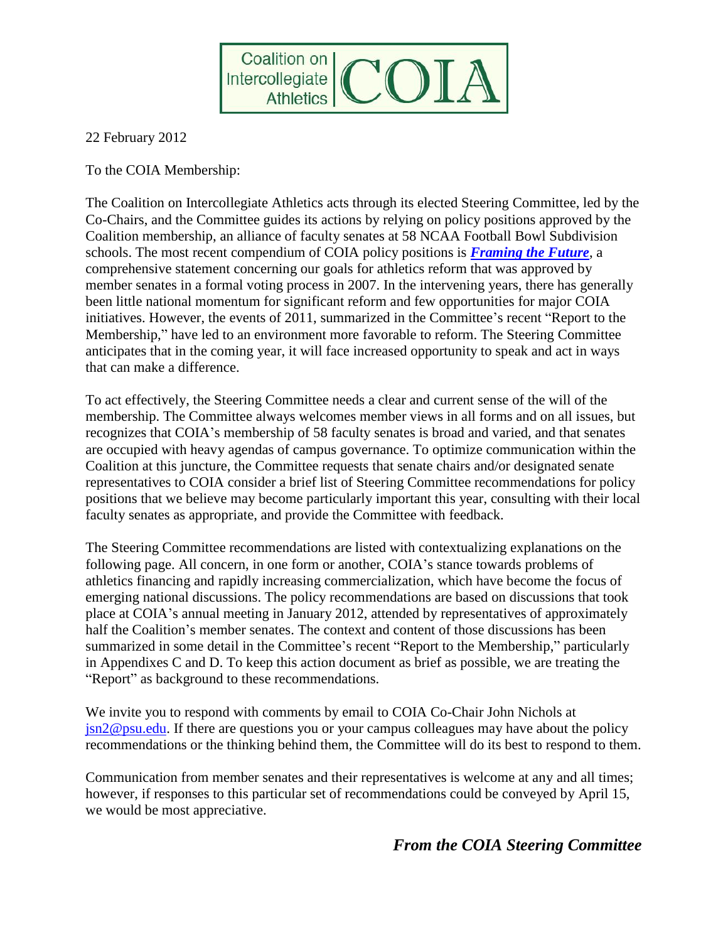

22 February 2012

To the COIA Membership:

The Coalition on Intercollegiate Athletics acts through its elected Steering Committee, led by the Co-Chairs, and the Committee guides its actions by relying on policy positions approved by the Coalition membership, an alliance of faculty senates at 58 NCAA Football Bowl Subdivision schools. The most recent compendium of COIA policy positions is *[Framing the Future](http://blogs.comm.psu.edu/thecoia/wp-content/uploads/FTF-White-Paper2.pdf)*, a comprehensive statement concerning our goals for athletics reform that was approved by member senates in a formal voting process in 2007. In the intervening years, there has generally been little national momentum for significant reform and few opportunities for major COIA initiatives. However, the events of 2011, summarized in the Committee's recent "Report to the Membership," have led to an environment more favorable to reform. The Steering Committee anticipates that in the coming year, it will face increased opportunity to speak and act in ways that can make a difference.

To act effectively, the Steering Committee needs a clear and current sense of the will of the membership. The Committee always welcomes member views in all forms and on all issues, but recognizes that COIA's membership of 58 faculty senates is broad and varied, and that senates are occupied with heavy agendas of campus governance. To optimize communication within the Coalition at this juncture, the Committee requests that senate chairs and/or designated senate representatives to COIA consider a brief list of Steering Committee recommendations for policy positions that we believe may become particularly important this year, consulting with their local faculty senates as appropriate, and provide the Committee with feedback.

The Steering Committee recommendations are listed with contextualizing explanations on the following page. All concern, in one form or another, COIA's stance towards problems of athletics financing and rapidly increasing commercialization, which have become the focus of emerging national discussions. The policy recommendations are based on discussions that took place at COIA's annual meeting in January 2012, attended by representatives of approximately half the Coalition's member senates. The context and content of those discussions has been summarized in some detail in the Committee's recent "Report to the Membership," particularly in Appendixes C and D. To keep this action document as brief as possible, we are treating the "Report" as background to these recommendations.

We invite you to respond with comments by email to COIA Co-Chair John Nichols at [jsn2@psu.edu.](mailto:jsn2@psu.edu) If there are questions you or your campus colleagues may have about the policy recommendations or the thinking behind them, the Committee will do its best to respond to them.

Communication from member senates and their representatives is welcome at any and all times; however, if responses to this particular set of recommendations could be conveyed by April 15, we would be most appreciative.

## *From the COIA Steering Committee*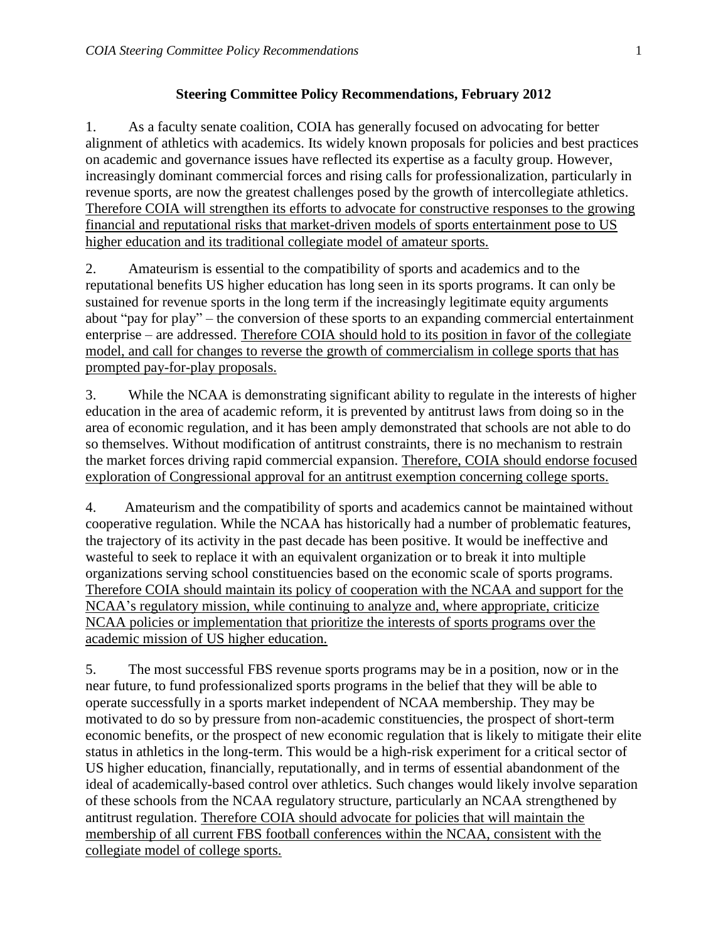## **Steering Committee Policy Recommendations, February 2012**

1. As a faculty senate coalition, COIA has generally focused on advocating for better alignment of athletics with academics. Its widely known proposals for policies and best practices on academic and governance issues have reflected its expertise as a faculty group. However, increasingly dominant commercial forces and rising calls for professionalization, particularly in revenue sports, are now the greatest challenges posed by the growth of intercollegiate athletics. Therefore COIA will strengthen its efforts to advocate for constructive responses to the growing financial and reputational risks that market-driven models of sports entertainment pose to US higher education and its traditional collegiate model of amateur sports.

2. Amateurism is essential to the compatibility of sports and academics and to the reputational benefits US higher education has long seen in its sports programs. It can only be sustained for revenue sports in the long term if the increasingly legitimate equity arguments about "pay for play" – the conversion of these sports to an expanding commercial entertainment enterprise – are addressed. Therefore COIA should hold to its position in favor of the collegiate model, and call for changes to reverse the growth of commercialism in college sports that has prompted pay-for-play proposals.

3. While the NCAA is demonstrating significant ability to regulate in the interests of higher education in the area of academic reform, it is prevented by antitrust laws from doing so in the area of economic regulation, and it has been amply demonstrated that schools are not able to do so themselves. Without modification of antitrust constraints, there is no mechanism to restrain the market forces driving rapid commercial expansion. Therefore, COIA should endorse focused exploration of Congressional approval for an antitrust exemption concerning college sports.

4. Amateurism and the compatibility of sports and academics cannot be maintained without cooperative regulation. While the NCAA has historically had a number of problematic features, the trajectory of its activity in the past decade has been positive. It would be ineffective and wasteful to seek to replace it with an equivalent organization or to break it into multiple organizations serving school constituencies based on the economic scale of sports programs. Therefore COIA should maintain its policy of cooperation with the NCAA and support for the NCAA's regulatory mission, while continuing to analyze and, where appropriate, criticize NCAA policies or implementation that prioritize the interests of sports programs over the academic mission of US higher education.

5. The most successful FBS revenue sports programs may be in a position, now or in the near future, to fund professionalized sports programs in the belief that they will be able to operate successfully in a sports market independent of NCAA membership. They may be motivated to do so by pressure from non-academic constituencies, the prospect of short-term economic benefits, or the prospect of new economic regulation that is likely to mitigate their elite status in athletics in the long-term. This would be a high-risk experiment for a critical sector of US higher education, financially, reputationally, and in terms of essential abandonment of the ideal of academically-based control over athletics. Such changes would likely involve separation of these schools from the NCAA regulatory structure, particularly an NCAA strengthened by antitrust regulation. Therefore COIA should advocate for policies that will maintain the membership of all current FBS football conferences within the NCAA, consistent with the collegiate model of college sports.